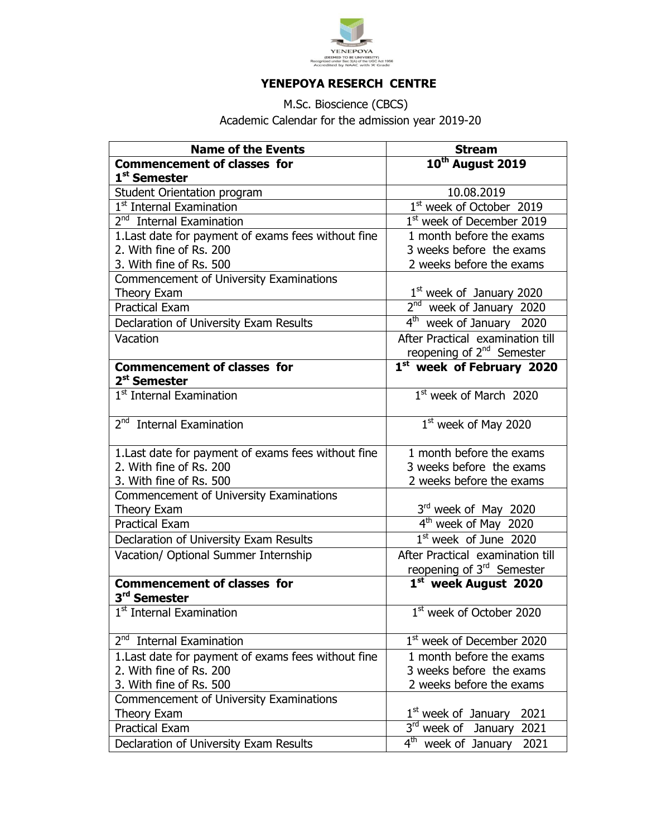

## **YENEPOYA RESERCH CENTRE**

M.Sc. Bioscience (CBCS) Academic Calendar for the admission year 2019-20

| <b>Name of the Events</b>                           | <b>Stream</b>                                         |
|-----------------------------------------------------|-------------------------------------------------------|
| <b>Commencement of classes for</b>                  | 10 <sup>th</sup> August 2019                          |
| 1 <sup>st</sup> Semester                            |                                                       |
| Student Orientation program                         | 10.08.2019                                            |
| 1 <sup>st</sup> Internal Examination                | 1 <sup>st</sup> week of October 2019                  |
| 2 <sup>nd</sup> Internal Examination                | 1 <sup>st</sup> week of December 2019                 |
| 1. Last date for payment of exams fees without fine | 1 month before the exams                              |
| 2. With fine of Rs. 200                             | 3 weeks before the exams                              |
| 3. With fine of Rs. 500                             | 2 weeks before the exams                              |
| <b>Commencement of University Examinations</b>      |                                                       |
| Theory Exam                                         | 1 <sup>st</sup> week of January 2020                  |
| Practical Exam                                      | 2 <sup>nd</sup> week of January 2020                  |
| Declaration of University Exam Results              | 4 <sup>th</sup> week of January 2020                  |
| Vacation                                            | After Practical examination till                      |
|                                                     | reopening of 2 <sup>nd</sup> Semester                 |
| <b>Commencement of classes for</b>                  | 1 <sup>st</sup> week of February 2020                 |
| 2 <sup>st</sup> Semester                            |                                                       |
| 1 <sup>st</sup> Internal Examination                | 1 <sup>st</sup> week of March 2020                    |
| 2 <sup>nd</sup> Internal Examination                | $1st$ week of May 2020                                |
| 1. Last date for payment of exams fees without fine | 1 month before the exams                              |
| 2. With fine of Rs. 200                             | 3 weeks before the exams                              |
| 3. With fine of Rs. 500                             | 2 weeks before the exams                              |
| <b>Commencement of University Examinations</b>      |                                                       |
| <b>Theory Exam</b>                                  | 3rd week of May 2020                                  |
| <b>Practical Exam</b>                               | 4 <sup>th</sup> week of May 2020                      |
| Declaration of University Exam Results              | $1st$ week of June 2020                               |
| Vacation/ Optional Summer Internship                | After Practical examination till                      |
|                                                     | reopening of 3 <sup>rd</sup> Semester                 |
| <b>Commencement of classes for</b>                  | $1st$ week August 2020                                |
| 3 <sup>rd</sup> Semester                            |                                                       |
| 1st Internal Examination                            | 1 <sup>st</sup> week of October 2020                  |
| 2 <sup>nd</sup> Internal Examination                | 1 <sup>st</sup> week of December 2020                 |
| 1. Last date for payment of exams fees without fine | 1 month before the exams                              |
| 2. With fine of Rs. 200                             | 3 weeks before the exams                              |
| 3. With fine of Rs. 500                             | 2 weeks before the exams                              |
| <b>Commencement of University Examinations</b>      |                                                       |
| Theory Exam                                         | $1st$ week of January<br>2021                         |
| <b>Practical Exam</b>                               | $\overline{3}^{\text{rd}}$ week of<br>January<br>2021 |
| Declaration of University Exam Results              | 4 <sup>th</sup> week of January<br>2021               |